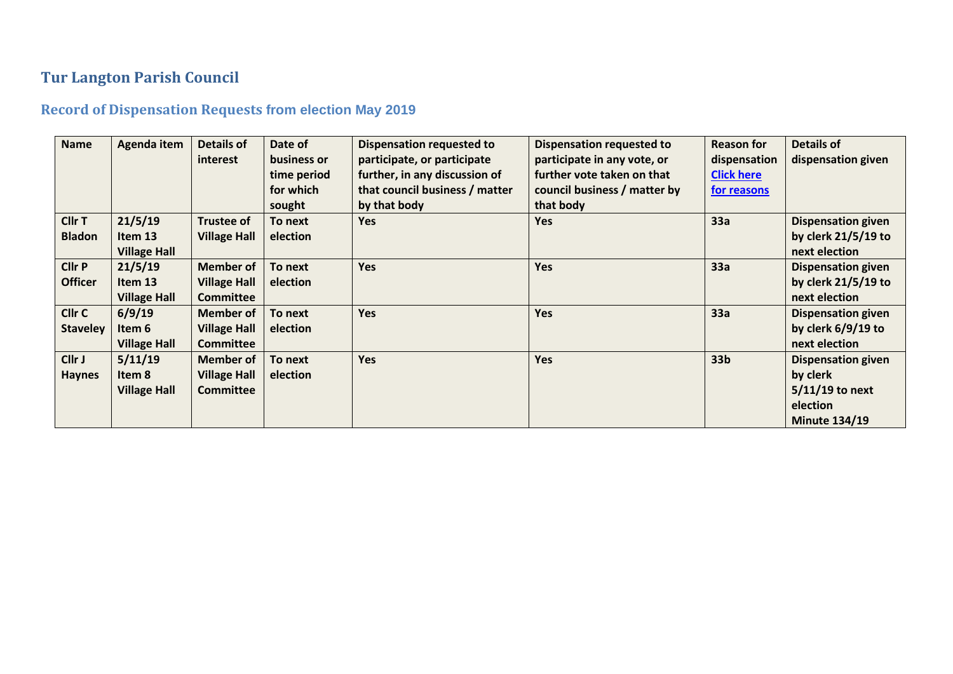## **Tur Langton Parish Council**

## **Record of Dispensation Requests from election May 2019**

| <b>Name</b>     | Agenda item         | <b>Details of</b>   | Date of     | <b>Dispensation requested to</b> | <b>Dispensation requested to</b> | <b>Reason for</b> | <b>Details of</b>         |
|-----------------|---------------------|---------------------|-------------|----------------------------------|----------------------------------|-------------------|---------------------------|
|                 |                     | <i>interest</i>     | business or | participate, or participate      | participate in any vote, or      | dispensation      | dispensation given        |
|                 |                     |                     | time period | further, in any discussion of    | further vote taken on that       | <b>Click here</b> |                           |
|                 |                     |                     | for which   | that council business / matter   | council business / matter by     | for reasons       |                           |
|                 |                     |                     | sought      | by that body                     | that body                        |                   |                           |
| Cllr T          | 21/5/19             | <b>Trustee of</b>   | To next     | <b>Yes</b>                       | <b>Yes</b>                       | 33a               | <b>Dispensation given</b> |
| <b>Bladon</b>   | Item 13             | <b>Village Hall</b> | election    |                                  |                                  |                   | by clerk $21/5/19$ to     |
|                 | <b>Village Hall</b> |                     |             |                                  |                                  |                   | next election             |
| <b>Cllr P</b>   | 21/5/19             | <b>Member of</b>    | To next     | Yes                              | Yes                              | 33a               | <b>Dispensation given</b> |
| <b>Officer</b>  | Item 13             | <b>Village Hall</b> | election    |                                  |                                  |                   | by clerk $21/5/19$ to     |
|                 | <b>Village Hall</b> | <b>Committee</b>    |             |                                  |                                  |                   | next election             |
| Cllr C          | 6/9/19              | <b>Member of</b>    | To next     | <b>Yes</b>                       | <b>Yes</b>                       | 33a               | <b>Dispensation given</b> |
| <b>Staveley</b> | Item 6              | <b>Village Hall</b> | election    |                                  |                                  |                   | by clerk $6/9/19$ to      |
|                 | <b>Village Hall</b> | <b>Committee</b>    |             |                                  |                                  |                   | next election             |
| Cllr J          | 5/11/19             | <b>Member of</b>    | To next     | <b>Yes</b>                       | <b>Yes</b>                       | 33 <sub>b</sub>   | <b>Dispensation given</b> |
| <b>Haynes</b>   | Item 8              | <b>Village Hall</b> | election    |                                  |                                  |                   | by clerk                  |
|                 | <b>Village Hall</b> | <b>Committee</b>    |             |                                  |                                  |                   | $5/11/19$ to next         |
|                 |                     |                     |             |                                  |                                  |                   | election                  |
|                 |                     |                     |             |                                  |                                  |                   | <b>Minute 134/19</b>      |